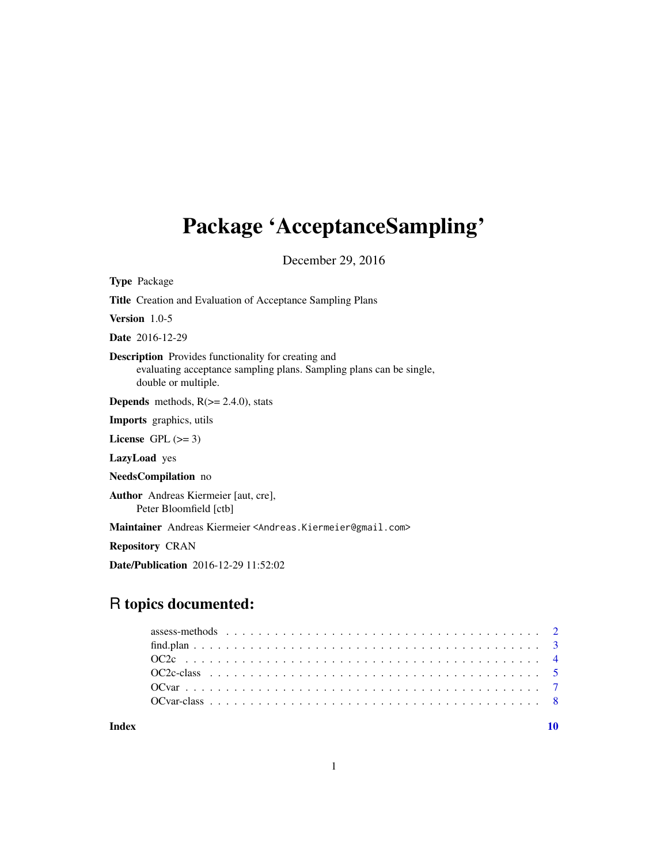# <span id="page-0-0"></span>Package 'AcceptanceSampling'

December 29, 2016

Type Package Title Creation and Evaluation of Acceptance Sampling Plans Version 1.0-5 Date 2016-12-29 Description Provides functionality for creating and evaluating acceptance sampling plans. Sampling plans can be single, double or multiple. **Depends** methods,  $R$ ( $>=$  2.4.0), stats Imports graphics, utils License GPL  $(>= 3)$ LazyLoad yes NeedsCompilation no Author Andreas Kiermeier [aut, cre], Peter Bloomfield [ctb] Maintainer Andreas Kiermeier <Andreas.Kiermeier@gmail.com> Repository CRAN

# R topics documented:

Date/Publication 2016-12-29 11:52:02

| Index |  |
|-------|--|
|       |  |
|       |  |
|       |  |
|       |  |
|       |  |
|       |  |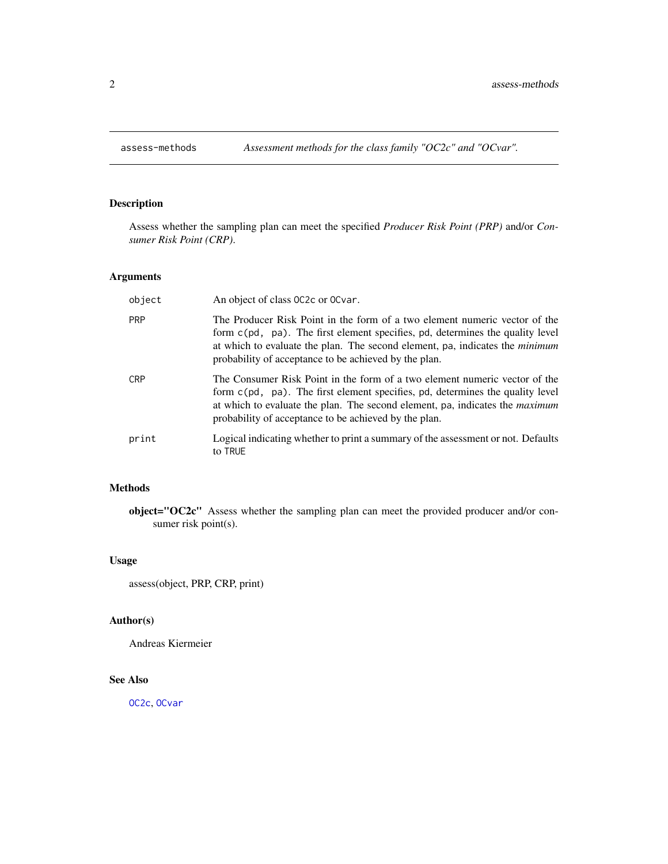# <span id="page-1-0"></span>Description

Assess whether the sampling plan can meet the specified *Producer Risk Point (PRP)* and/or *Consumer Risk Point (CRP)*.

# Arguments

| object     | An object of class 0C2c or 0Cvar.                                                                                                                                                                                                                                                                           |
|------------|-------------------------------------------------------------------------------------------------------------------------------------------------------------------------------------------------------------------------------------------------------------------------------------------------------------|
| <b>PRP</b> | The Producer Risk Point in the form of a two element numeric vector of the<br>form c(pd, pa). The first element specifies, pd, determines the quality level<br>at which to evaluate the plan. The second element, pa, indicates the <i>minimum</i><br>probability of acceptance to be achieved by the plan. |
| <b>CRP</b> | The Consumer Risk Point in the form of a two element numeric vector of the<br>form c(pd, pa). The first element specifies, pd, determines the quality level<br>at which to evaluate the plan. The second element, pa, indicates the <i>maximum</i><br>probability of acceptance to be achieved by the plan. |
| print      | Logical indicating whether to print a summary of the assessment or not. Defaults<br>to TRUE                                                                                                                                                                                                                 |

# Methods

object="OC2c" Assess whether the sampling plan can meet the provided producer and/or consumer risk point(s).

# Usage

assess(object, PRP, CRP, print)

# Author(s)

Andreas Kiermeier

# See Also

[OC2c](#page-3-1), [OCvar](#page-6-1)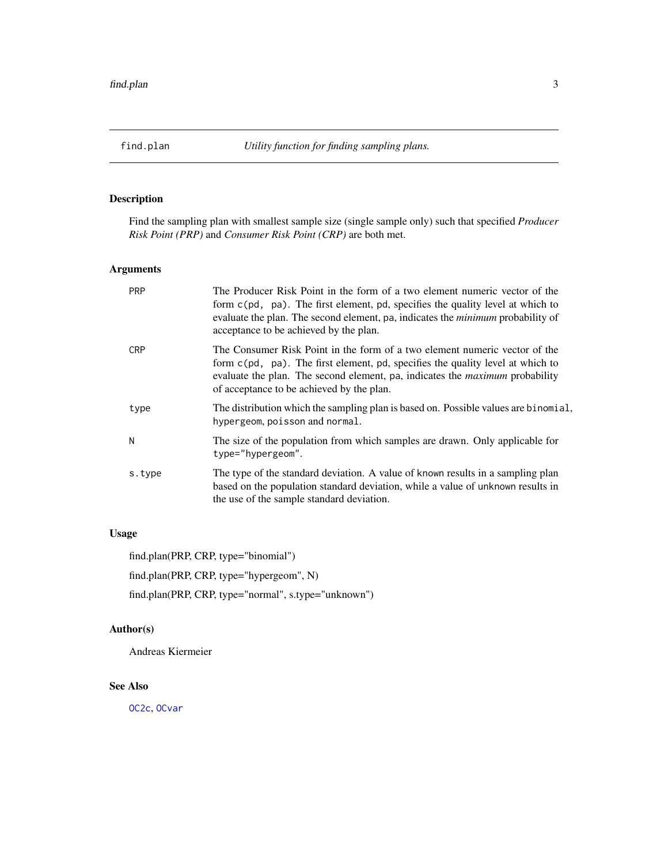<span id="page-2-0"></span>

# Description

Find the sampling plan with smallest sample size (single sample only) such that specified *Producer Risk Point (PRP)* and *Consumer Risk Point (CRP)* are both met.

# Arguments

| <b>PRP</b> | The Producer Risk Point in the form of a two element numeric vector of the<br>form c(pd, pa). The first element, pd, specifies the quality level at which to<br>evaluate the plan. The second element, pa, indicates the <i>minimum</i> probability of<br>acceptance to be achieved by the plan.              |
|------------|---------------------------------------------------------------------------------------------------------------------------------------------------------------------------------------------------------------------------------------------------------------------------------------------------------------|
| <b>CRP</b> | The Consumer Risk Point in the form of a two element numeric vector of the<br>form $c$ ( $pd$ , $pa$ ). The first element, $pd$ , specifies the quality level at which to<br>evaluate the plan. The second element, pa, indicates the <i>maximum</i> probability<br>of acceptance to be achieved by the plan. |
| type       | The distribution which the sampling plan is based on. Possible values are binomial,<br>hypergeom, poisson and normal.                                                                                                                                                                                         |
| N          | The size of the population from which samples are drawn. Only applicable for<br>type="hypergeom".                                                                                                                                                                                                             |
| s.type     | The type of the standard deviation. A value of known results in a sampling plan<br>based on the population standard deviation, while a value of unknown results in<br>the use of the sample standard deviation.                                                                                               |

# Usage

find.plan(PRP, CRP, type="binomial")

find.plan(PRP, CRP, type="hypergeom", N)

find.plan(PRP, CRP, type="normal", s.type="unknown")

# Author(s)

Andreas Kiermeier

#### See Also

[OC2c](#page-3-1), [OCvar](#page-6-1)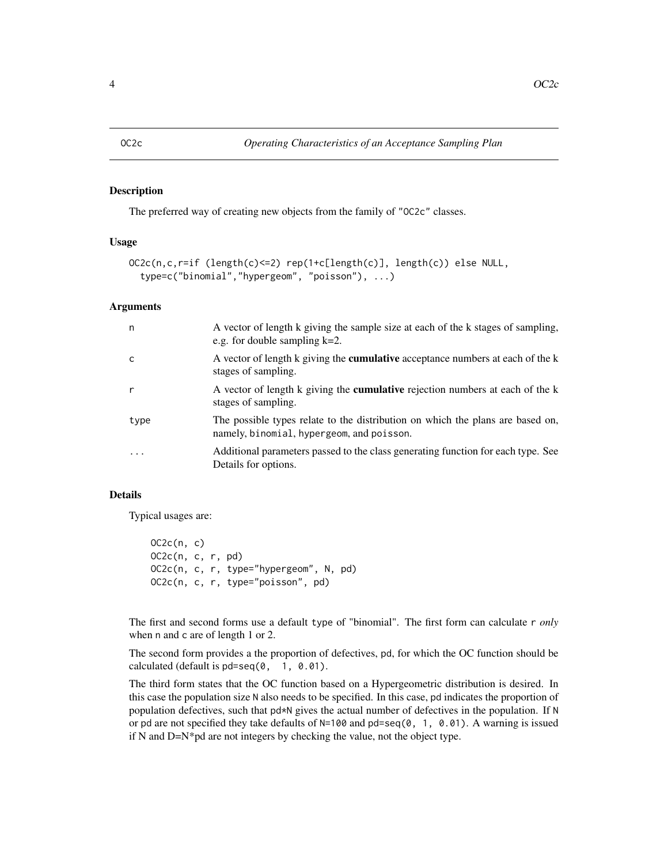#### <span id="page-3-1"></span><span id="page-3-0"></span>Description

The preferred way of creating new objects from the family of "OC2c" classes.

#### Usage

```
OC2c(n,c,r=if (length(c)<=2) rep(1+c[length(c)], length(c)) else NULL,
  type=c("binomial","hypergeom", "poisson"), ...)
```
# Arguments

| n                       | A vector of length k giving the sample size at each of the k stages of sampling,<br>e.g. for double sampling $k=2$ .        |
|-------------------------|-----------------------------------------------------------------------------------------------------------------------------|
| C                       | A vector of length k giving the <b>cumulative</b> acceptance numbers at each of the k<br>stages of sampling.                |
| r                       | A vector of length k giving the <b>cumulative</b> rejection numbers at each of the k<br>stages of sampling.                 |
| type                    | The possible types relate to the distribution on which the plans are based on,<br>namely, binomial, hypergeom, and poisson. |
| $\cdot$ $\cdot$ $\cdot$ | Additional parameters passed to the class generating function for each type. See<br>Details for options.                    |

# Details

Typical usages are:

```
OC2c(n, c)OC2c(n, c, r, pd)
OC2c(n, c, r, type="hypergeom", N, pd)
OC2c(n, c, r, type="poisson", pd)
```
The first and second forms use a default type of "binomial". The first form can calculate r *only* when n and c are of length 1 or 2.

The second form provides a the proportion of defectives, pd, for which the OC function should be calculated (default is pd=seq(0, 1, 0.01).

The third form states that the OC function based on a Hypergeometric distribution is desired. In this case the population size N also needs to be specified. In this case, pd indicates the proportion of population defectives, such that pd\*N gives the actual number of defectives in the population. If N or pd are not specified they take defaults of  $N=100$  and  $pd=seq(0, 1, 0.01)$ . A warning is issued if N and D=N\*pd are not integers by checking the value, not the object type.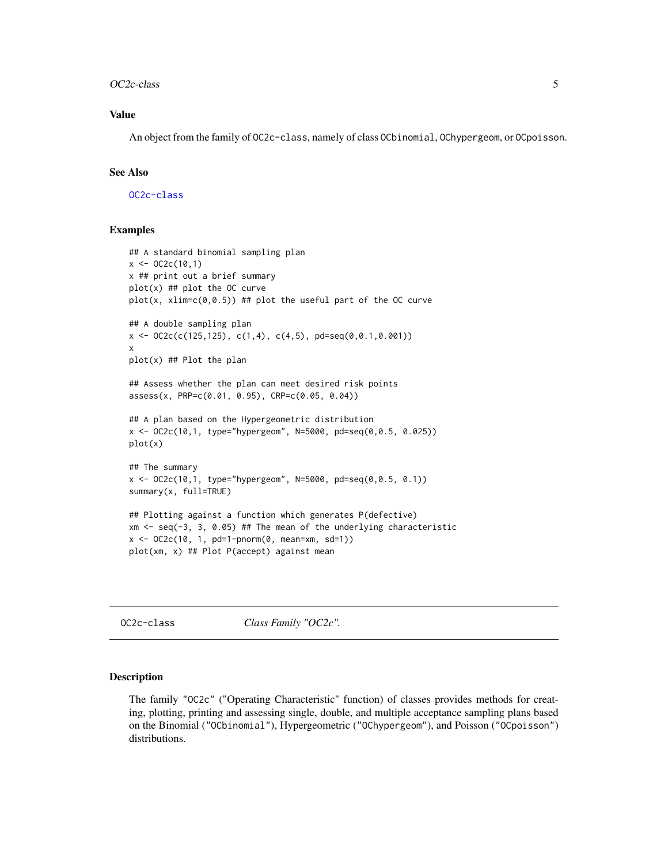#### <span id="page-4-0"></span>OC2c-class 5

# Value

An object from the family of OC2c-class, namely of class OCbinomial, OChypergeom, or OCpoisson.

# See Also

[OC2c-class](#page-4-1)

# Examples

```
## A standard binomial sampling plan
x < - OC2c(10,1)
x ## print out a brief summary
plot(x) ## plot the OC curve
plot(x, xlim=c(0, 0.5)) ## plot the useful part of the OC curve
## A double sampling plan
x \leftarrow 0C2c(c(125,125), c(1,4), c(4,5), pd=seq(0,0.1,0.001))
x
plot(x) ## Plot the plan
## Assess whether the plan can meet desired risk points
assess(x, PRP=c(0.01, 0.95), CRP=c(0.05, 0.04))
## A plan based on the Hypergeometric distribution
x <- OC2c(10,1, type="hypergeom", N=5000, pd=seq(0,0.5, 0.025))
plot(x)
## The summary
x <- OC2c(10,1, type="hypergeom", N=5000, pd=seq(0,0.5, 0.1))
summary(x, full=TRUE)
## Plotting against a function which generates P(defective)
xm \leq -seq(-3, 3, 0.05) ## The mean of the underlying characteristic
x \le -0C2c(10, 1, pd=1-pnorm(0, mean=xm, sd=1))
plot(xm, x) ## Plot P(accept) against mean
```
<span id="page-4-1"></span>OC2c-class *Class Family "OC2c".*

# Description

The family "OC2c" ("Operating Characteristic" function) of classes provides methods for creating, plotting, printing and assessing single, double, and multiple acceptance sampling plans based on the Binomial ("OCbinomial"), Hypergeometric ("OChypergeom"), and Poisson ("OCpoisson") distributions.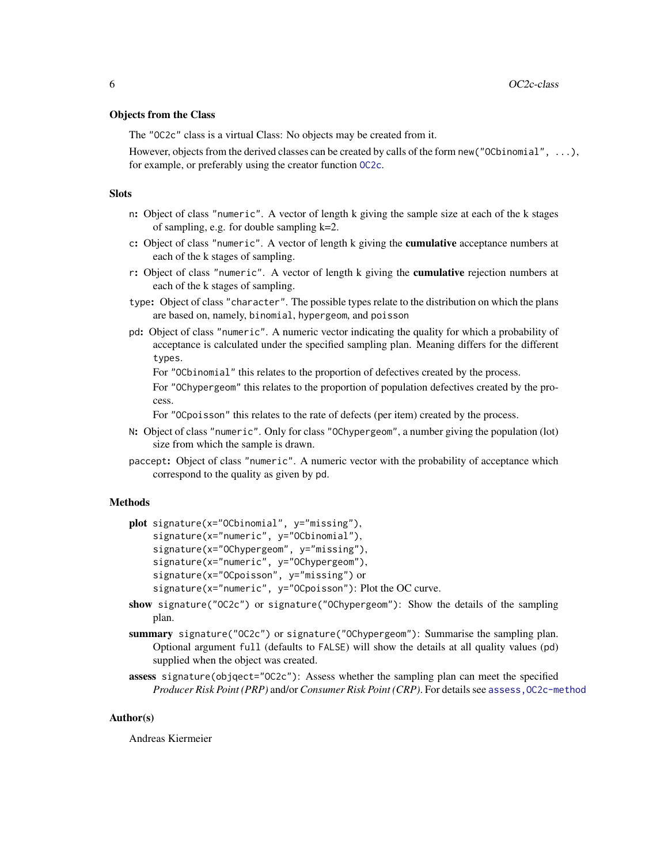#### <span id="page-5-0"></span>Objects from the Class

The "OC2c" class is a virtual Class: No objects may be created from it.

However, objects from the derived classes can be created by calls of the form new("OCbinomial", ...), for example, or preferably using the creator function [OC2c](#page-3-1).

# **Slots**

- n: Object of class "numeric". A vector of length k giving the sample size at each of the k stages of sampling, e.g. for double sampling k=2.
- c: Object of class "numeric". A vector of length k giving the **cumulative** acceptance numbers at each of the k stages of sampling.
- r: Object of class "numeric". A vector of length k giving the cumulative rejection numbers at each of the k stages of sampling.
- type: Object of class "character". The possible types relate to the distribution on which the plans are based on, namely, binomial, hypergeom, and poisson
- pd: Object of class "numeric". A numeric vector indicating the quality for which a probability of acceptance is calculated under the specified sampling plan. Meaning differs for the different types.

For "OCbinomial" this relates to the proportion of defectives created by the process.

For "OChypergeom" this relates to the proportion of population defectives created by the process.

For "OCpoisson" this relates to the rate of defects (per item) created by the process.

- N: Object of class "numeric". Only for class "OChypergeom", a number giving the population (lot) size from which the sample is drawn.
- paccept: Object of class "numeric". A numeric vector with the probability of acceptance which correspond to the quality as given by pd.

#### Methods

```
plot signature(x="OCbinomial", y="missing"),
    signature(x="numeric", y="OCbinomial"),
    signature(x="OChypergeom", y="missing"),
    signature(x="numeric", y="OChypergeom"),
    signature(x="OCpoisson", y="missing") or
    signature(x="numeric", y="OCpoisson"): Plot the OC curve.
```
- show signature("OC2c") or signature("OChypergeom"): Show the details of the sampling plan.
- summary signature("OC2c") or signature("OChypergeom"): Summarise the sampling plan. Optional argument full (defaults to FALSE) will show the details at all quality values (pd) supplied when the object was created.
- assess signature(objqect="OC2c"): Assess whether the sampling plan can meet the specified *Producer Risk Point (PRP)* and/or *Consumer Risk Point (CRP)*. For details see [assess,OC2c-method](#page-0-0)

# Author(s)

Andreas Kiermeier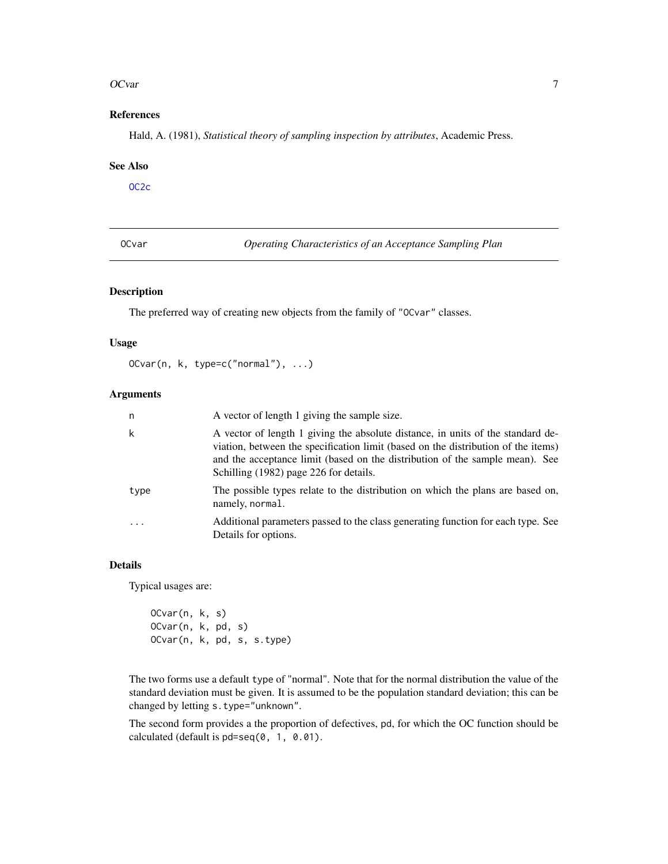#### <span id="page-6-0"></span>OCvar 7

# References

Hald, A. (1981), *Statistical theory of sampling inspection by attributes*, Academic Press.

#### See Also

[OC2c](#page-3-1)

<span id="page-6-1"></span>OCvar *Operating Characteristics of an Acceptance Sampling Plan*

#### Description

The preferred way of creating new objects from the family of "OCvar" classes.

#### Usage

OCvar(n, k, type=c("normal"), ...)

#### Arguments

| n        | A vector of length 1 giving the sample size.                                                                                                                                                                                                                                                   |
|----------|------------------------------------------------------------------------------------------------------------------------------------------------------------------------------------------------------------------------------------------------------------------------------------------------|
| k        | A vector of length 1 giving the absolute distance, in units of the standard de-<br>viation, between the specification limit (based on the distribution of the items)<br>and the acceptance limit (based on the distribution of the sample mean). See<br>Schilling (1982) page 226 for details. |
| type     | The possible types relate to the distribution on which the plans are based on,<br>namely, normal.                                                                                                                                                                                              |
| $\cdots$ | Additional parameters passed to the class generating function for each type. See<br>Details for options.                                                                                                                                                                                       |

# Details

Typical usages are:

OCvar(n, k, s) OCvar(n, k, pd, s) OCvar(n, k, pd, s, s.type)

The two forms use a default type of "normal". Note that for the normal distribution the value of the standard deviation must be given. It is assumed to be the population standard deviation; this can be changed by letting s.type="unknown".

The second form provides a the proportion of defectives, pd, for which the OC function should be calculated (default is pd=seq(0, 1, 0.01).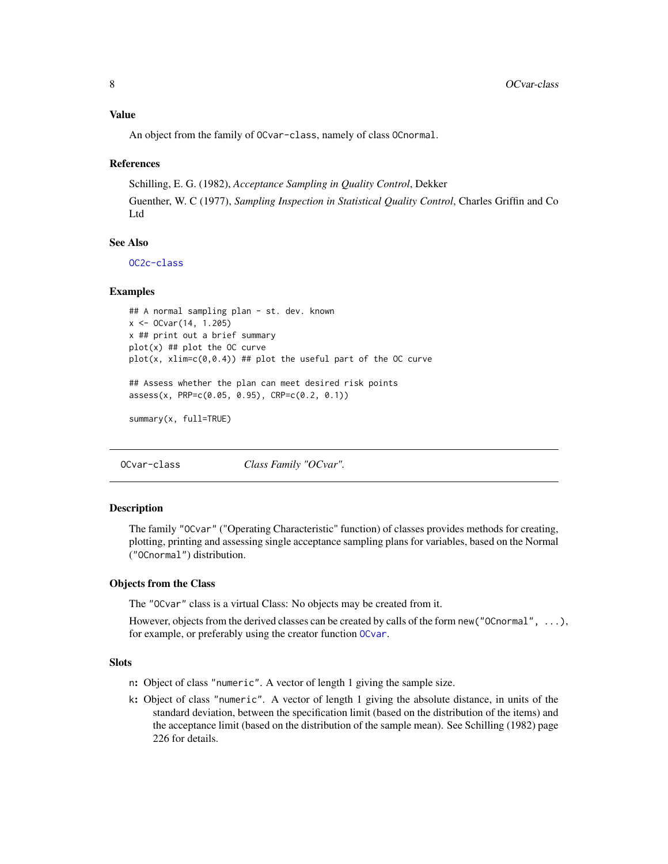#### <span id="page-7-0"></span>Value

An object from the family of OCvar-class, namely of class OCnormal.

#### References

Schilling, E. G. (1982), *Acceptance Sampling in Quality Control*, Dekker Guenther, W. C (1977), *Sampling Inspection in Statistical Quality Control*, Charles Griffin and Co Ltd

## See Also

[OC2c-class](#page-4-1)

#### Examples

```
## A normal sampling plan - st. dev. known
x <- OCvar(14, 1.205)
x ## print out a brief summary
plot(x) ## plot the OC curve
plot(x, xlim=c(0, 0.4)) ## plot the useful part of the OC curve
## Assess whether the plan can meet desired risk points
assess(x, PRP=c(0.05, 0.95), CRP=c(0.2, 0.1))
```
summary(x, full=TRUE)

OCvar-class *Class Family "OCvar".*

# Description

The family "OCvar" ("Operating Characteristic" function) of classes provides methods for creating, plotting, printing and assessing single acceptance sampling plans for variables, based on the Normal ("OCnormal") distribution.

#### Objects from the Class

The "OCvar" class is a virtual Class: No objects may be created from it.

However, objects from the derived classes can be created by calls of the form new("OCnormal", ...), for example, or preferably using the creator function [OCvar](#page-6-1).

#### **Slots**

- n: Object of class "numeric". A vector of length 1 giving the sample size.
- k: Object of class "numeric". A vector of length 1 giving the absolute distance, in units of the standard deviation, between the specification limit (based on the distribution of the items) and the acceptance limit (based on the distribution of the sample mean). See Schilling (1982) page 226 for details.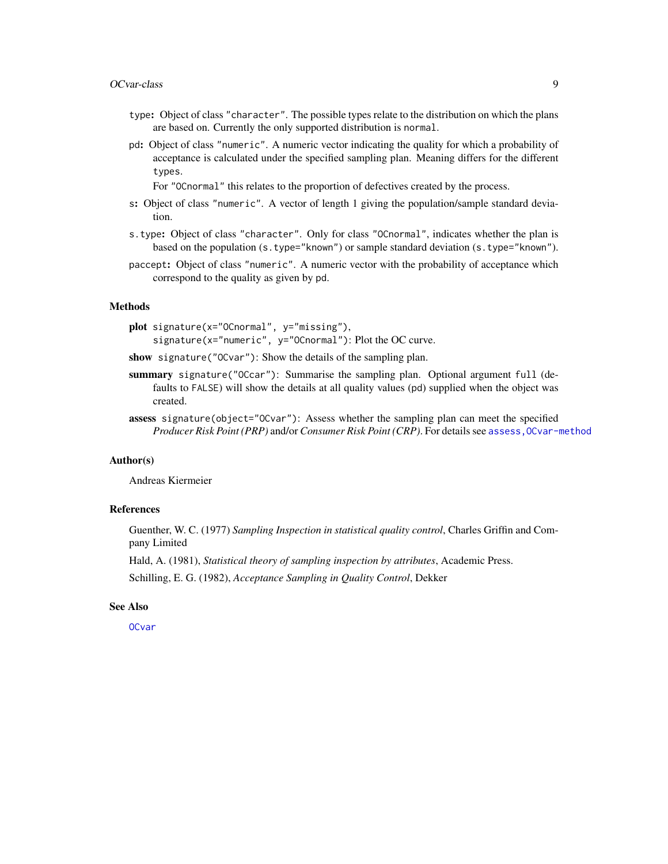#### <span id="page-8-0"></span>OCvar-class 9

- type: Object of class "character". The possible types relate to the distribution on which the plans are based on. Currently the only supported distribution is normal.
- pd: Object of class "numeric". A numeric vector indicating the quality for which a probability of acceptance is calculated under the specified sampling plan. Meaning differs for the different types.

For "OCnormal" this relates to the proportion of defectives created by the process.

- s: Object of class "numeric". A vector of length 1 giving the population/sample standard deviation.
- s.type: Object of class "character". Only for class "OCnormal", indicates whether the plan is based on the population (s.type="known") or sample standard deviation (s.type="known").
- paccept: Object of class "numeric". A numeric vector with the probability of acceptance which correspond to the quality as given by pd.

# Methods

plot signature(x="OCnormal", y="missing"), signature(x="numeric", y="0Cnormal"): Plot the OC curve.

show signature("OCvar"): Show the details of the sampling plan.

- summary signature("OCcar"): Summarise the sampling plan. Optional argument full (defaults to FALSE) will show the details at all quality values (pd) supplied when the object was created.
- assess signature(object="OCvar"): Assess whether the sampling plan can meet the specified *Producer Risk Point (PRP)* and/or *Consumer Risk Point (CRP)*. For details see assess, OCvar-method

# Author(s)

Andreas Kiermeier

# References

Guenther, W. C. (1977) *Sampling Inspection in statistical quality control*, Charles Griffin and Company Limited

Hald, A. (1981), *Statistical theory of sampling inspection by attributes*, Academic Press.

Schilling, E. G. (1982), *Acceptance Sampling in Quality Control*, Dekker

#### See Also

[OCvar](#page-6-1)